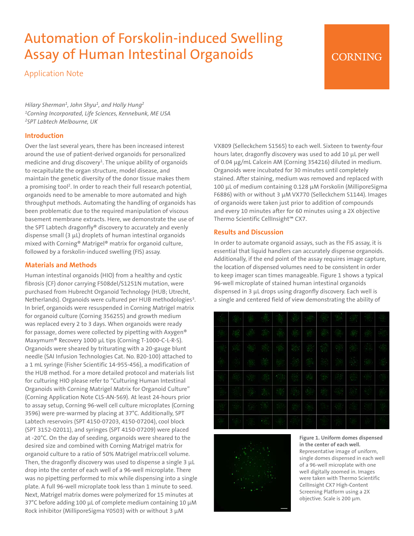# Automation of Forskolin-induced Swelling Assay of Human Intestinal Organoids

Application Note

## **CORNING**

*Hilary Sherman1, John Shyu1, and Holly Hung2 1Corning Incorporated, Life Sciences, Kennebunk, ME USA 2SPT Labtech Melbourne, UK*

## **Introduction**

Over the last several years, there has been increased interest around the use of patient-derived organoids for personalized medicine and drug discovery<sup>1</sup>. The unique ability of organoids to recapitulate the organ structure, model disease, and maintain the genetic diversity of the donor tissue makes them a promising tool<sup>2</sup>. In order to reach their full research potential, organoids need to be amenable to more automated and high throughput methods. Automating the handling of organoids has been problematic due to the required manipulation of viscous basement membrane extracts. Here, we demonstrate the use of the SPT Labtech dragonfly® discovery to accurately and evenly dispense small (3 µL) droplets of human intestinal organoids mixed with Corning® Matrigel® matrix for organoid culture, followed by a forskolin-induced swelling (FIS) assay.

## **Materials and Methods**

Human intestinal organoids (HIO) from a healthy and cystic fibrosis (CF) donor carrying F508del/S1251N mutation, were purchased from Hubrecht Organoid Technology (HUB; Utrecht, Netherlands). Organoids were cultured per HUB methodologies<sup>3</sup>. In brief, organoids were resuspended in Corning Matrigel matrix for organoid culture (Corning 356255) and growth medium was replaced every 2 to 3 days. When organoids were ready for passage, domes were collected by pipetting with Axygen® Maxymum® Recovery 1000 µL tips (Corning T-1000-C-L-R-S). Organoids were sheared by triturating with a 20-gauge blunt needle (SAI Infusion Technologies Cat. No. B20-100) attached to a 1 mL syringe (Fisher Scientific 14-955-456), a modification of the HUB method. For a more detailed protocol and materials list for culturing HIO please refer to "Culturing Human Intestinal Organoids with Corning Matrigel Matrix for Organoid Culture" (Corning Application Note CLS-AN-569). At least 24-hours prior to assay setup, Corning 96-well cell culture microplates (Corning 3596) were pre-warmed by placing at 37°C. Additionally, SPT Labtech reservoirs (SPT 4150-07203, 4150-07204), cool block (SPT 3152-02011), and syringes (SPT 4150-07209) were placed at -20°C. On the day of seeding, organoids were sheared to the desired size and combined with Corning Matrigel matrix for organoid culture to a ratio of 50% Matrigel matrix:cell volume. Then, the dragonfly discovery was used to dispense a single  $3 \mu L$ drop into the center of each well of a 96-well microplate. There was no pipetting performed to mix while dispensing into a single plate. A full 96-well microplate took less than 1 minute to seed. Next, Matrigel matrix domes were polymerized for 15 minutes at 37°C before adding 100 µL of complete medium containing 10 µM Rock inhibitor (MilliporeSigma Y0503) with or without 3 µM

VX809 (Selleckchem S1565) to each well. Sixteen to twenty-four hours later, dragonfly discovery was used to add 10 µL per well of 0.04 µg/mL Calcein AM (Corning 354216) diluted in medium. Organoids were incubated for 30 minutes until completely stained. After staining, medium was removed and replaced with 100 µL of medium containing 0.128 µM Forskolin (MilliporeSigma F6886) with or without 3 µM VX770 (Selleckchem S1144). Images of organoids were taken just prior to addition of compounds and every 10 minutes after for 60 minutes using a 2X objective Thermo Scientific CellInsight™ CX7.

## **Results and Discussion**

In order to automate organoid assays, such as the FIS assay, it is essential that liquid handlers can accurately dispense organoids. Additionally, if the end point of the assay requires image capture, the location of dispensed volumes need to be consistent in order to keep imager scan times manageable. Figure 1 shows a typical 96-well microplate of stained human intestinal organoids dispensed in 3 µL drops using dragonfly discovery. Each well is a single and centered field of view demonstrating the ability of

|            |               | 64443         |     |                           |     |           |                   |               |             |                                                       |
|------------|---------------|---------------|-----|---------------------------|-----|-----------|-------------------|---------------|-------------|-------------------------------------------------------|
|            |               | $\frac{1}{2}$ |     |                           | 第第章 |           |                   | $\frac{1}{2}$ | 機           |                                                       |
|            |               |               |     | $\sim$                    |     |           |                   | $\frac{1}{2}$ |             | $\frac{\sum_{i=1}^k \sigma_i}{\sum_{i=1}^k \sigma_i}$ |
|            |               |               |     |                           | 第第第 |           |                   |               |             | 噻                                                     |
| <b>Ay</b>  | $\mathcal{R}$ |               | 第一章 | $\mathcal{N}(\mathbb{R})$ |     | <b>Ay</b> | <b>1940 第5</b>    |               |             | $\frac{1}{\sqrt{2}}$                                  |
|            | ※ 题           |               |     |                           | ● 第 |           | <b>All Street</b> |               |             |                                                       |
|            |               |               | 解释  | $\frac{1}{2}$             |     |           |                   |               |             |                                                       |
| <b>Any</b> |               |               |     |                           |     |           |                   |               | 事業國家發展 计图 医 |                                                       |

#### **Figure 1. Uniform domes dispensed in the center of each well.**

Representative image of uniform, single domes dispensed in each well of a 96-well microplate with one well digitally zoomed in. Images were taken with Thermo Scientific CellInsight CX7 High-Content Screening Platform using a 2X objective. Scale is 200 µm.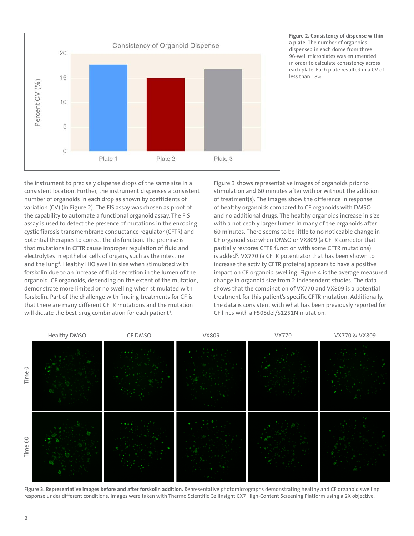

**Figure 2. Consistency of dispense within a plate.** The number of organoids dispensed in each dome from three 96-well microplates was enumerated in order to calculate consistency across each plate. Each plate resulted in a CV of less than 18%.

the instrument to precisely dispense drops of the same size in a consistent location. Further, the instrument dispenses a consistent number of organoids in each drop as shown by coefficients of variation (CV) (in Figure 2). The FIS assay was chosen as proof of the capability to automate a functional organoid assay. The FIS assay is used to detect the presence of mutations in the encoding cystic fibrosis transmembrane conductance regulator (CFTR) and potential therapies to correct the disfunction. The premise is that mutations in CFTR cause improper regulation of fluid and electrolytes in epithelial cells of organs, such as the intestine and the lung<sup>4</sup>. Healthy HIO swell in size when stimulated with forskolin due to an increase of fluid secretion in the lumen of the organoid. CF organoids, depending on the extent of the mutation, demonstrate more limited or no swelling when stimulated with forskolin. Part of the challenge with finding treatments for CF is that there are many different CFTR mutations and the mutation will dictate the best drug combination for each patient<sup>3</sup>.

Figure 3 shows representative images of organoids prior to stimulation and 60 minutes after with or without the addition of treatment(s). The images show the difference in response of healthy organoids compared to CF organoids with DMSO and no additional drugs. The healthy organoids increase in size with a noticeably larger lumen in many of the organoids after 60 minutes. There seems to be little to no noticeable change in CF organoid size when DMSO or VX809 (a CFTR corrector that partially restores CFTR function with some CFTR mutations) is added<sup>5</sup>. VX770 (a CFTR potentiator that has been shown to increase the activity CFTR proteins) appears to have a positive impact on CF organoid swelling. Figure 4 is the average measured change in organoid size from 2 independent studies. The data shows that the combination of VX770 and VX809 is a potential treatment for this patient's specific CFTR mutation. Additionally, the data is consistent with what has been previously reported for CF lines with a F508del/S1251N mutation.



**Figure 3. Representative images before and after forskolin addition.** Representative photomicrographs demonstrating healthy and CF organoid swelling response under different conditions. Images were taken with Thermo Scientific CellInsight CX7 High-Content Screening Platform using a 2X objective.